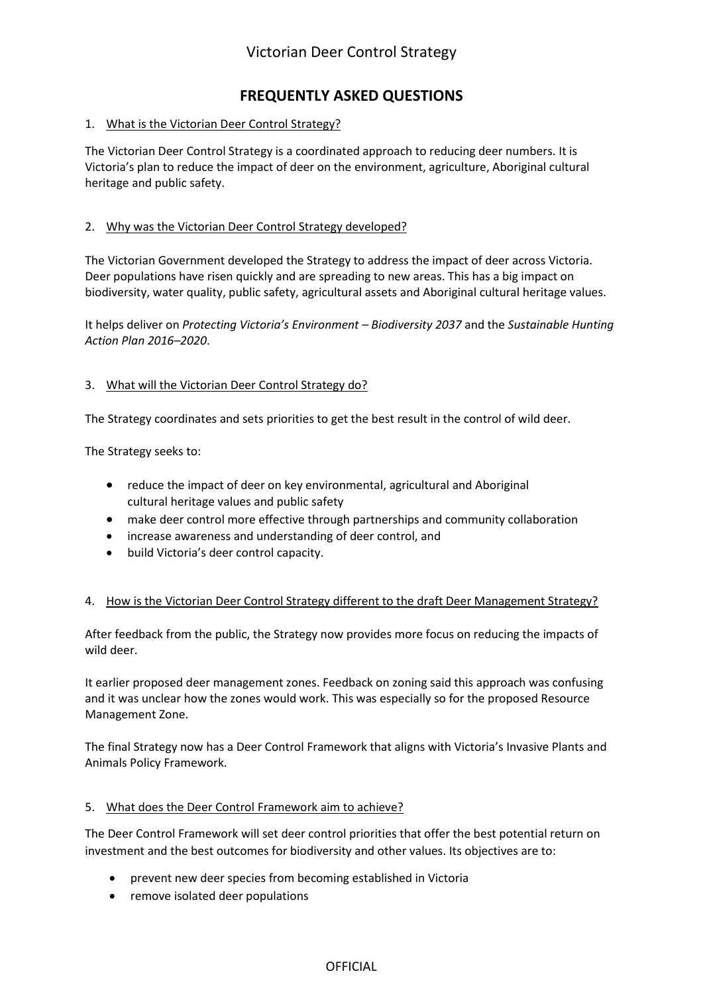## **FREQUENTLY ASKED QUESTIONS**

## 1. What is the Victorian Deer Control Strategy?

The Victorian Deer Control Strategy is a coordinated approach to reducing deer numbers. It is Victoria's plan to reduce the impact of deer on the environment, agriculture, Aboriginal cultural heritage and public safety.

## 2. Why was the Victorian Deer Control Strategy developed?

The Victorian Government developed the Strategy to address the impact of deer across Victoria. Deer populations have risen quickly and are spreading to new areas. This has a big impact on biodiversity, water quality, public safety, agricultural assets and Aboriginal cultural heritage values.

It helps deliver on *Protecting Victoria's Environment – Biodiversity 2037* and the *Sustainable Hunting Action Plan 2016–2020*.

### 3. What will the Victorian Deer Control Strategy do?

The Strategy coordinates and sets priorities to get the best result in the control of wild deer.

The Strategy seeks to:

- reduce the impact of deer on key environmental, agricultural and Aboriginal cultural heritage values and public safety
- make deer control more effective through partnerships and community collaboration
- increase awareness and understanding of deer control, and
- build Victoria's deer control capacity.

#### 4. How is the Victorian Deer Control Strategy different to the draft Deer Management Strategy?

After feedback from the public, the Strategy now provides more focus on reducing the impacts of wild deer.

It earlier proposed deer management zones. Feedback on zoning said this approach was confusing and it was unclear how the zones would work. This was especially so for the proposed Resource Management Zone.

The final Strategy now has a Deer Control Framework that aligns with Victoria's Invasive Plants and Animals Policy Framework.

#### 5. What does the Deer Control Framework aim to achieve?

The Deer Control Framework will set deer control priorities that offer the best potential return on investment and the best outcomes for biodiversity and other values. Its objectives are to:

- prevent new deer species from becoming established in Victoria
- remove isolated deer populations

OFFICIAL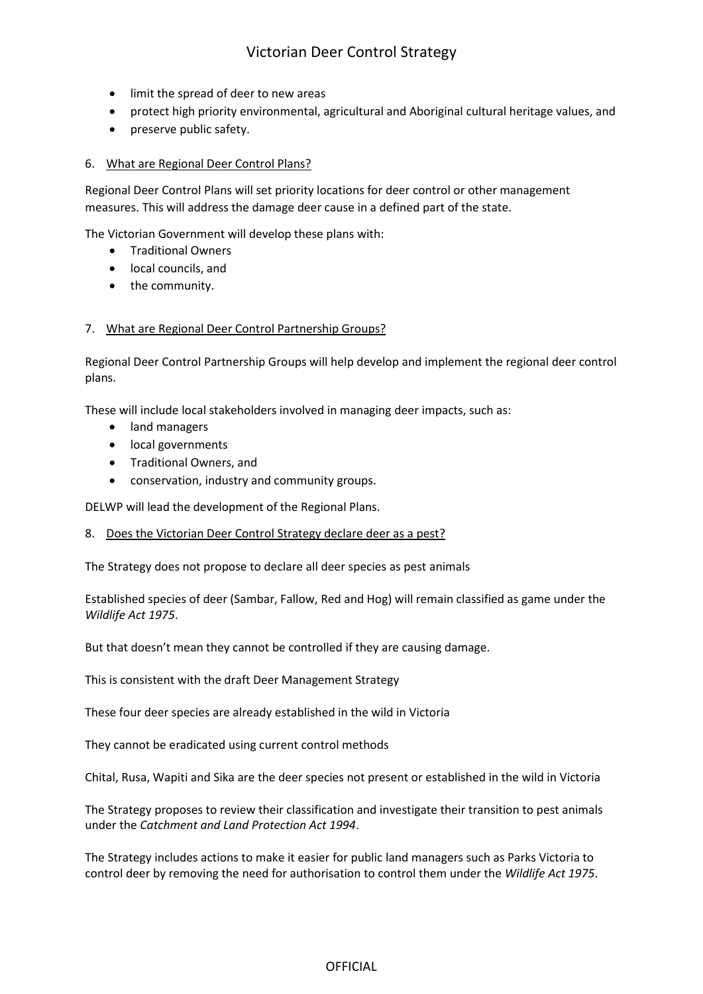- limit the spread of deer to new areas
- protect high priority environmental, agricultural and Aboriginal cultural heritage values, and
- preserve public safety.

## 6. What are Regional Deer Control Plans?

Regional Deer Control Plans will set priority locations for deer control or other management measures. This will address the damage deer cause in a defined part of the state.

The Victorian Government will develop these plans with:

- Traditional Owners
- local councils, and
- the community.

### 7. What are Regional Deer Control Partnership Groups?

Regional Deer Control Partnership Groups will help develop and implement the regional deer control plans.

These will include local stakeholders involved in managing deer impacts, such as:

- land managers
- local governments
- Traditional Owners, and
- conservation, industry and community groups.

DELWP will lead the development of the Regional Plans.

8. Does the Victorian Deer Control Strategy declare deer as a pest?

The Strategy does not propose to declare all deer species as pest animals

Established species of deer (Sambar, Fallow, Red and Hog) will remain classified as game under the *Wildlife Act 1975*.

But that doesn't mean they cannot be controlled if they are causing damage.

This is consistent with the draft Deer Management Strategy

These four deer species are already established in the wild in Victoria

They cannot be eradicated using current control methods

Chital, Rusa, Wapiti and Sika are the deer species not present or established in the wild in Victoria

The Strategy proposes to review their classification and investigate their transition to pest animals under the *Catchment and Land Protection Act 1994*.

The Strategy includes actions to make it easier for public land managers such as Parks Victoria to control deer by removing the need for authorisation to control them under the *Wildlife Act 1975*.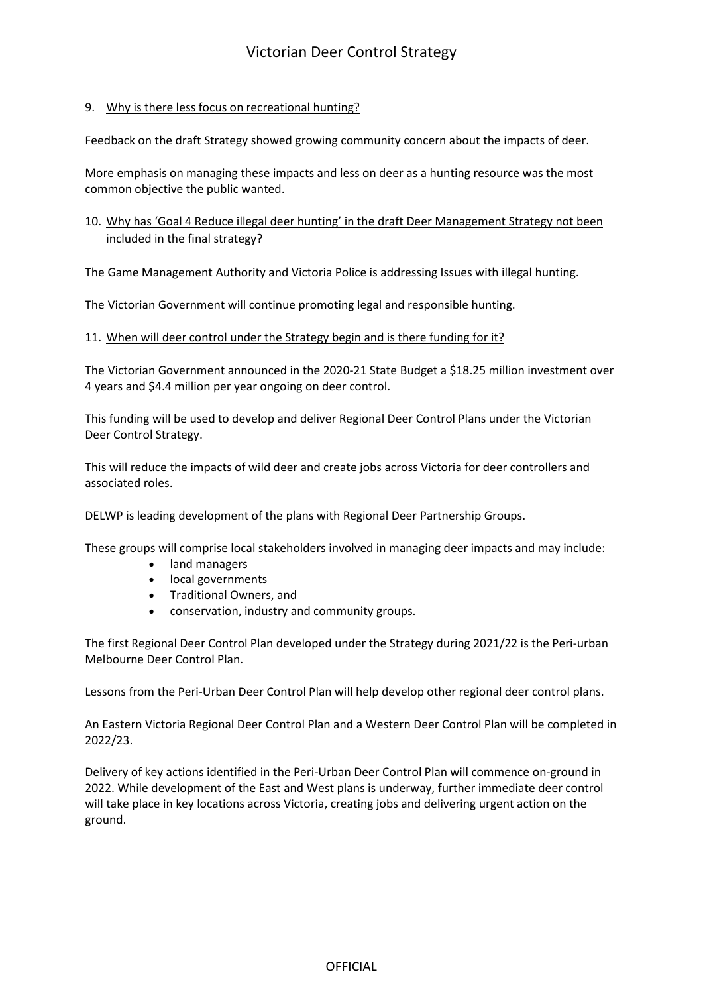## 9. Why is there less focus on recreational hunting?

Feedback on the draft Strategy showed growing community concern about the impacts of deer.

More emphasis on managing these impacts and less on deer as a hunting resource was the most common objective the public wanted.

## 10. Why has 'Goal 4 Reduce illegal deer hunting' in the draft Deer Management Strategy not been included in the final strategy?

The Game Management Authority and Victoria Police is addressing Issues with illegal hunting.

The Victorian Government will continue promoting legal and responsible hunting.

#### 11. When will deer control under the Strategy begin and is there funding for it?

The Victorian Government announced in the 2020-21 State Budget a \$18.25 million investment over 4 years and \$4.4 million per year ongoing on deer control.

This funding will be used to develop and deliver Regional Deer Control Plans under the Victorian Deer Control Strategy.

This will reduce the impacts of wild deer and create jobs across Victoria for deer controllers and associated roles.

DELWP is leading development of the plans with Regional Deer Partnership Groups.

These groups will comprise local stakeholders involved in managing deer impacts and may include:

- land managers
- local governments
- Traditional Owners, and
- conservation, industry and community groups.

The first Regional Deer Control Plan developed under the Strategy during 2021/22 is the Peri-urban Melbourne Deer Control Plan.

Lessons from the Peri-Urban Deer Control Plan will help develop other regional deer control plans.

An Eastern Victoria Regional Deer Control Plan and a Western Deer Control Plan will be completed in 2022/23.

Delivery of key actions identified in the Peri-Urban Deer Control Plan will commence on-ground in 2022. While development of the East and West plans is underway, further immediate deer control will take place in key locations across Victoria, creating jobs and delivering urgent action on the ground.